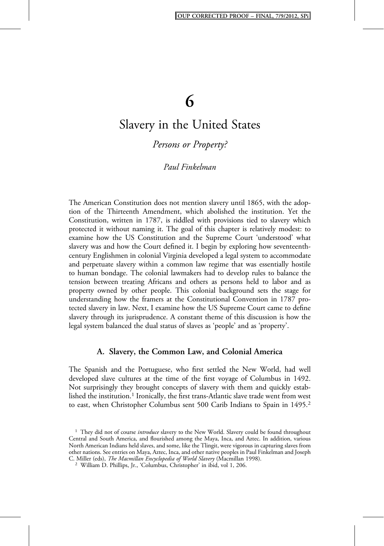# 6

## Slavery in the United States

## Persons or Property?

## Paul Finkelman

The American Constitution does not mention slavery until 1865, with the adoption of the Thirteenth Amendment, which abolished the institution. Yet the Constitution, written in 1787, is riddled with provisions tied to slavery which protected it without naming it. The goal of this chapter is relatively modest: to examine how the US Constitution and the Supreme Court 'understood' what slavery was and how the Court defined it. I begin by exploring how seventeenthcentury Englishmen in colonial Virginia developed a legal system to accommodate and perpetuate slavery within a common law regime that was essentially hostile to human bondage. The colonial lawmakers had to develop rules to balance the tension between treating Africans and others as persons held to labor and as property owned by other people. This colonial background sets the stage for understanding how the framers at the Constitutional Convention in 1787 protected slavery in law. Next, I examine how the US Supreme Court came to define slavery through its jurisprudence. A constant theme of this discussion is how the legal system balanced the dual status of slaves as 'people' and as 'property'.

#### A. Slavery, the Common Law, and Colonial America

The Spanish and the Portuguese, who first settled the New World, had well developed slave cultures at the time of the first voyage of Columbus in 1492. Not surprisingly they brought concepts of slavery with them and quickly established the institution.<sup>1</sup> Ironically, the first trans-Atlantic slave trade went from west to east, when Christopher Columbus sent 500 Carib Indians to Spain in 1495.<sup>2</sup>

<sup>&</sup>lt;sup>1</sup> They did not of course *introduce* slavery to the New World. Slavery could be found throughout Central and South America, and flourished among the Maya, Inca, and Aztec. In addition, various North American Indians held slaves, and some, like the Tlingit, were vigorous in capturing slaves from other nations. See entries on Maya, Aztec, Inca, and other native peoples in Paul Finkelman and Joseph<br>C. Miller (eds), *The Macmillan Encyclopedia of World Slavery* (Macmillan 1998).

<sup>&</sup>lt;sup>2</sup> William D. Phillips, Jr., 'Columbus, Christopher' in ibid, vol 1, 206.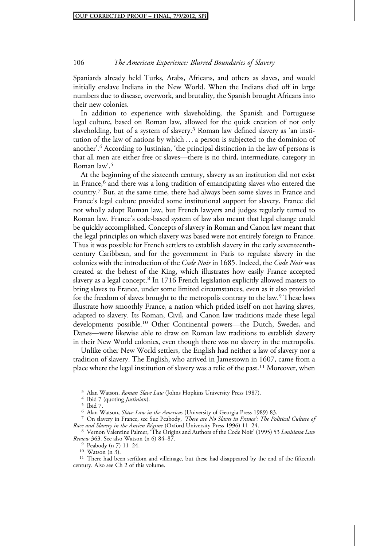#### OUP CORRECTED PROOF – FINAL, 7/9/2012, SPi

#### 106 The American Experience: Blurred Boundaries of Slavery

Spaniards already held Turks, Arabs, Africans, and others as slaves, and would initially enslave Indians in the New World. When the Indians died off in large numbers due to disease, overwork, and brutality, the Spanish brought Africans into their new colonies.

In addition to experience with slaveholding, the Spanish and Portuguese legal culture, based on Roman law, allowed for the quick creation of not only slaveholding, but of a system of slavery.<sup>3</sup> Roman law defined slavery as 'an institution of the law of nations by which ...a person is subjected to the dominion of another'. <sup>4</sup> According to Justinian, 'the principal distinction in the law of persons is that all men are either free or slaves—there is no third, intermediate, category in Roman law'. 5

At the beginning of the sixteenth century, slavery as an institution did not exist in France,<sup>6</sup> and there was a long tradition of emancipating slaves who entered the country.7 But, at the same time, there had always been some slaves in France and France's legal culture provided some institutional support for slavery. France did not wholly adopt Roman law, but French lawyers and judges regularly turned to Roman law. France's code-based system of law also meant that legal change could be quickly accomplished. Concepts of slavery in Roman and Canon law meant that the legal principles on which slavery was based were not entirely foreign to France. Thus it was possible for French settlers to establish slavery in the early seventeenthcentury Caribbean, and for the government in Paris to regulate slavery in the colonies with the introduction of the Code Noir in 1685. Indeed, the Code Noir was created at the behest of the King, which illustrates how easily France accepted slavery as a legal concept.<sup>8</sup> In 1716 French legislation explicitly allowed masters to bring slaves to France, under some limited circumstances, even as it also provided for the freedom of slaves brought to the metropolis contrary to the law.<sup>9</sup> These laws illustrate how smoothly France, a nation which prided itself on not having slaves, adapted to slavery. Its Roman, Civil, and Canon law traditions made these legal developments possible.<sup>10</sup> Other Continental powers—the Dutch, Swedes, and Danes—were likewise able to draw on Roman law traditions to establish slavery in their New World colonies, even though there was no slavery in the metropolis.

Unlike other New World settlers, the English had neither a law of slavery nor a tradition of slavery. The English, who arrived in Jamestown in 1607, came from a place where the legal institution of slavery was a relic of the past.<sup>11</sup> Moreover, when

<sup>3</sup> Alan Watson, *Roman Slave Law* (Johns Hopkins University Press 1987).<br>
<sup>4</sup> Ibid 7 (quoting *Justinian*).<br>
<sup>5</sup> Ibid 7.<br>
<sup>6</sup> Alan Watson, *Slave Law in the Americas* (University of Georgia Press 1989) 83.<br>
<sup>7</sup> On slaver

Race and Slavery in the Ancien Régime (Oxford University Press 1996) 11–24.<br><sup>8</sup> Vernon Valentine Palmer, 'The Origins and Authors of the Code Noir' (1995) 53 Louisiana Law<br>Review 363. See also Watson (n 6) 84–87.

Peabody (n 7) 11–24.<br><sup>10</sup> Watson (n 3).<br><sup>11</sup> There had been serfdom and villeinage, but these had disappeared by the end of the fifteenth century. Also see Ch 2 of this volume.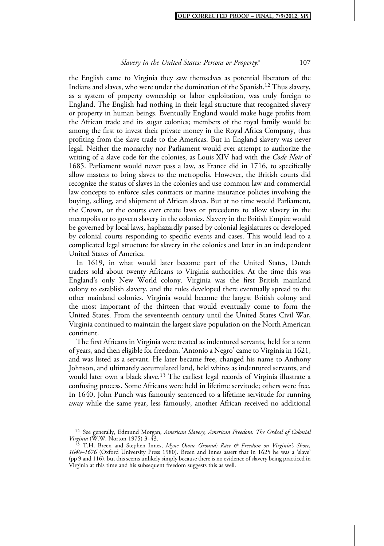the English came to Virginia they saw themselves as potential liberators of the Indians and slaves, who were under the domination of the Spanish.12 Thus slavery, as a system of property ownership or labor exploitation, was truly foreign to England. The English had nothing in their legal structure that recognized slavery or property in human beings. Eventually England would make huge profits from the African trade and its sugar colonies; members of the royal family would be among the first to invest their private money in the Royal Africa Company, thus profiting from the slave trade to the Americas. But in England slavery was never legal. Neither the monarchy nor Parliament would ever attempt to authorize the writing of a slave code for the colonies, as Louis XIV had with the Code Noir of 1685. Parliament would never pass a law, as France did in 1716, to specifically allow masters to bring slaves to the metropolis. However, the British courts did recognize the status of slaves in the colonies and use common law and commercial law concepts to enforce sales contracts or marine insurance policies involving the buying, selling, and shipment of African slaves. But at no time would Parliament, the Crown, or the courts ever create laws or precedents to allow slavery in the metropolis or to govern slavery in the colonies. Slavery in the British Empire would be governed by local laws, haphazardly passed by colonial legislatures or developed by colonial courts responding to specific events and cases. This would lead to a complicated legal structure for slavery in the colonies and later in an independent United States of America.

In 1619, in what would later become part of the United States, Dutch traders sold about twenty Africans to Virginia authorities. At the time this was England's only New World colony. Virginia was the first British mainland colony to establish slavery, and the rules developed there eventually spread to the other mainland colonies. Virginia would become the largest British colony and the most important of the thirteen that would eventually come to form the United States. From the seventeenth century until the United States Civil War, Virginia continued to maintain the largest slave population on the North American continent.

The first Africans in Virginia were treated as indentured servants, held for a term of years, and then eligible for freedom. 'Antonio a Negro' came to Virginia in 1621, and was listed as a servant. He later became free, changed his name to Anthony Johnson, and ultimately accumulated land, held whites as indentured servants, and would later own a black slave.<sup>13</sup> The earliest legal records of Virginia illustrate a confusing process. Some Africans were held in lifetime servitude; others were free. In 1640, John Punch was famously sentenced to a lifetime servitude for running away while the same year, less famously, another African received no additional

<sup>&</sup>lt;sup>12</sup> See generally, Edmund Morgan, *American Slavery, American Freedom: The Ordeal of Colonial Virginia* (W.W. Norton 1975) 3–43.

<sup>&</sup>lt;sup>13</sup> T.H. Breen and Stephen Innes, Myne Owne Ground: Race & Freedom on Virginia's Shore, 1640–1676 (Oxford University Press 1980). Breen and Innes assert that in 1625 he was a 'slave' (pp 9 and 116), but this seems unlikely simply because there is no evidence of slavery being practiced in Virginia at this time and his subsequent freedom suggests this as well.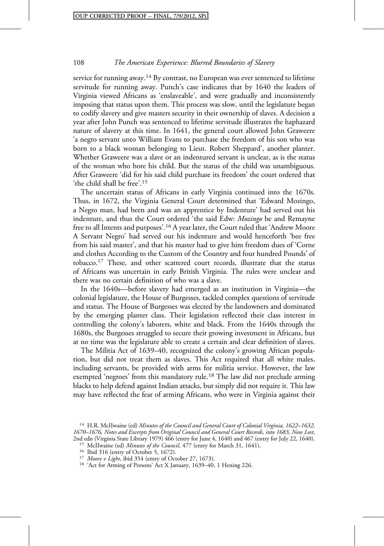service for running away.<sup>14</sup> By contrast, no European was ever sentenced to lifetime servitude for running away. Punch's case indicates that by 1640 the leaders of Virginia viewed Africans as 'enslaveable', and were gradually and inconsistently imposing that status upon them. This process was slow, until the legislature began to codify slavery and give masters security in their ownership of slaves. A decision a year after John Punch was sentenced to lifetime servitude illustrates the haphazard nature of slavery at this time. In 1641, the general court allowed John Graweere 'a negro servant unto William Evans to purchase the freedom of his son who was born to a black woman belonging to Lieut. Robert Sheppard', another planter. Whether Graweere was a slave or an indentured servant is unclear, as is the status of the woman who bore his child. But the status of the child was unambiguous. After Graweere 'did for his said child purchase its freedom' the court ordered that 'the child shall be free'. 15

The uncertain status of Africans in early Virginia continued into the 1670s. Thus, in 1672, the Virginia General Court determined that 'Edward Mozingo, a Negro man, had been and was an apprentice by Indenture' had served out his indenture, and thus the Court ordered 'the said Edw: Mozingo be and Remayne free to all Intents and purposes'.<sup>16</sup> A year later, the Court ruled that 'Andrew Moore A Servant Negro' had served out his indenture and would henceforth 'bee free from his said master', and that his master had to give him freedom dues of 'Corne and clothes According to the Custom of the Country and four hundred Pounds' of tobacco.17 These, and other scattered court records, illustrate that the status of Africans was uncertain in early British Virginia. The rules were unclear and there was no certain definition of who was a slave.

In the 1640s—before slavery had emerged as an institution in Virginia—the colonial legislature, the House of Burgesses, tackled complex questions of servitude and status. The House of Burgesses was elected by the landowners and dominated by the emerging planter class. Their legislation reflected their class interest in controlling the colony's laborers, white and black. From the 1640s through the 1680s, the Burgesses struggled to secure their growing investment in Africans, but at no time was the legislature able to create a certain and clear definition of slaves.

The Militia Act of 1639–40, recognized the colony's growing African population, but did not treat them as slaves. This Act required that all white males, including servants, be provided with arms for militia service. However, the law exempted 'negroes' from this mandatory rule.<sup>18</sup> The law did not preclude arming blacks to help defend against Indian attacks, but simply did not require it. This law may have reflected the fear of arming Africans, who were in Virginia against their

<sup>&</sup>lt;sup>14</sup> H.R. McIIwaine (ed) Minutes of the Council and General Court of Colonial Virginia, 1622–1632, 1670–1676, Notes and Excerpts from Original Council and General Court Records, into 1683, Now Lost,

<sup>&</sup>lt;sup>15</sup> McIIwaine (ed) *Minutes of the Council*, 477 (entry for March 31, 1641).<br><sup>16</sup> Ibid 316 (entry of October 5, 1672).<br><sup>17</sup> *Moore v Light*, ibid 354 (entry of October 27, 1673).<br><sup>18</sup> 'Act for Arming of Persons' Act X Ja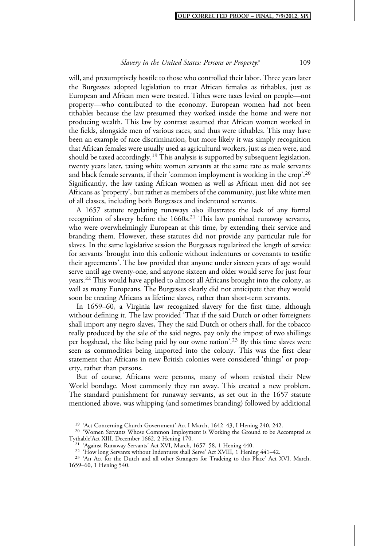will, and presumptively hostile to those who controlled their labor. Three years later the Burgesses adopted legislation to treat African females as tithables, just as European and African men were treated. Tithes were taxes levied on people—not property—who contributed to the economy. European women had not been tithables because the law presumed they worked inside the home and were not producing wealth. This law by contrast assumed that African women worked in the fields, alongside men of various races, and thus were tithables. This may have been an example of race discrimination, but more likely it was simply recognition that African females were usually used as agricultural workers, just as men were, and should be taxed accordingly.<sup>19</sup> This analysis is supported by subsequent legislation, twenty years later, taxing white women servants at the same rate as male servants and black female servants, if their 'common imployment is working in the crop'. 20 Significantly, the law taxing African women as well as African men did not see Africans as 'property', but rather as members of the community, just like white men of all classes, including both Burgesses and indentured servants.

A 1657 statute regulating runaways also illustrates the lack of any formal recognition of slavery before the 1660s.<sup>21</sup> This law punished runaway servants, who were overwhelmingly European at this time, by extending their service and branding them. However, these statutes did not provide any particular rule for slaves. In the same legislative session the Burgesses regularized the length of service for servants 'brought into this collonie without indentures or covenants to testifie their agreements'. The law provided that anyone under sixteen years of age would serve until age twenty-one, and anyone sixteen and older would serve for just four years.<sup>22</sup> This would have applied to almost all Africans brought into the colony, as well as many Europeans. The Burgesses clearly did not anticipate that they would soon be treating Africans as lifetime slaves, rather than short-term servants.

In 1659–60, a Virginia law recognized slavery for the first time, although without defining it. The law provided 'That if the said Dutch or other forreigners shall import any negro slaves, They the said Dutch or others shall, for the tobacco really produced by the sale of the said negro, pay only the impost of two shillings per hogshead, the like being paid by our owne nation'. <sup>23</sup> By this time slaves were seen as commodities being imported into the colony. This was the first clear statement that Africans in new British colonies were considered 'things' or property, rather than persons.

But of course, Africans were persons, many of whom resisted their New World bondage. Most commonly they ran away. This created a new problem. The standard punishment for runaway servants, as set out in the 1657 statute mentioned above, was whipping (and sometimes branding) followed by additional

<sup>19</sup> 'Act Concerning Church Government' Act I March, 1642–43, I Hening 240, 242.<br><sup>20</sup> 'Women Servants Whose Common Imployment is Working the Ground to be Accompted as Tythable'Act XIII, December 1662, 2 Hening 170.

<sup>&</sup>lt;sup>21</sup> 'Against Runaway Servants' Act XVI, March, 1657–58, 1 Hening 440.<br><sup>22</sup> 'How long Servants without Indentures shall Serve' Act XVIII, 1 Hening 441–42.<br><sup>23</sup> 'An Act for the Dutch and all other Strangers for Tradeing to 1659–60, 1 Hening 540.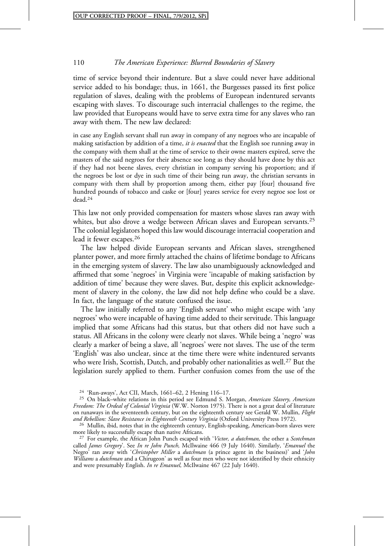time of service beyond their indenture. But a slave could never have additional service added to his bondage; thus, in 1661, the Burgesses passed its first police regulation of slaves, dealing with the problems of European indentured servants escaping with slaves. To discourage such interracial challenges to the regime, the law provided that Europeans would have to serve extra time for any slaves who ran away with them. The new law declared:

in case any English servant shall run away in company of any negroes who are incapable of making satisfaction by addition of a time, *it is enacted* that the English soe running away in the company with them shall at the time of service to their owne masters expired, serve the masters of the said negroes for their absence soe long as they should have done by this act if they had not beene slaves, every christian in company serving his proportion; and if the negroes be lost or dye in such time of their being run away, the christian servants in company with them shall by proportion among them, either pay [four] thousand five hundred pounds of tobacco and caske or [four] yeares service for every negroe soe lost or dead.<sup>24</sup>

This law not only provided compensation for masters whose slaves ran away with whites, but also drove a wedge between African slaves and European servants.<sup>25</sup> The colonial legislators hoped this law would discourage interracial cooperation and lead it fewer escapes.<sup>26</sup>

The law helped divide European servants and African slaves, strengthened planter power, and more firmly attached the chains of lifetime bondage to Africans in the emerging system of slavery. The law also unambiguously acknowledged and affirmed that some 'negroes' in Virginia were 'incapable of making satisfaction by addition of time' because they were slaves. But, despite this explicit acknowledgement of slavery in the colony, the law did not help define who could be a slave. In fact, the language of the statute confused the issue.

The law initially referred to any 'English servant' who might escape with 'any negroes' who were incapable of having time added to their servitude. This language implied that some Africans had this status, but that others did not have such a status. All Africans in the colony were clearly not slaves. While being a 'negro' was clearly a marker of being a slave, all 'negroes' were not slaves. The use of the term 'English' was also unclear, since at the time there were white indentured servants who were Irish, Scottish, Dutch, and probably other nationalities as well.<sup>27</sup> But the legislation surely applied to them. Further confusion comes from the use of the

<sup>&</sup>lt;sup>24</sup> 'Run-aways', Act CII, March, 1661–62, 2 Hening 116–17.<br><sup>25</sup> On black–white relations in this period see Edmund S. Morgan, *American Slavery, American* Freedom: The Ordeal of Colonial Virginia (W.W. Norton 1975). There is not a great deal of literature on runaways in the seventeenth century, but on the eighteenth century see Gerald W. Mullin, Flight

and Rebellion: Slave Resistance in Eighteenth Century Virginia (Oxford University Press 1972).<br><sup>26</sup> Mullin, ibid, notes that in the eighteenth century, English-speaking, American-born slaves were<br>more likely to successfull

<sup>&</sup>lt;sup>27</sup> For example, the African John Punch escaped with 'Victor, a dutchman, the other a Scotchman called James Gregory'. See In re John Punch, McIlwaine 466 (9 July 1640). Similarly, 'Emanuel the Negro<sup>'</sup> ran away with 'Christopher Miller a dutchman (a prince agent in the business)' and 'John Williams a dutchman and a Chirugeon' as well as four men who were not identified by their ethnicity and were presumably English. In re Emanuel, McIlwaine 467 (22 July 1640).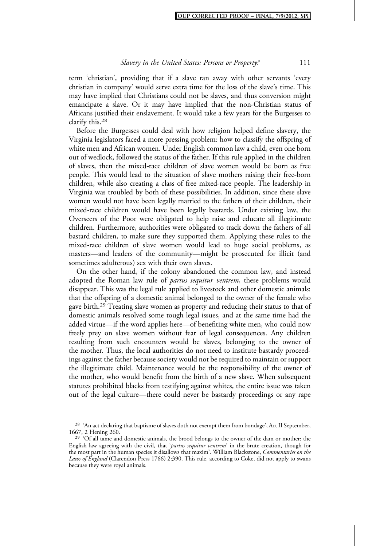term 'christian', providing that if a slave ran away with other servants 'every christian in company' would serve extra time for the loss of the slave's time. This may have implied that Christians could not be slaves, and thus conversion might emancipate a slave. Or it may have implied that the non-Christian status of Africans justified their enslavement. It would take a few years for the Burgesses to clarify this.28

Before the Burgesses could deal with how religion helped define slavery, the Virginia legislators faced a more pressing problem: how to classify the offspring of white men and African women. Under English common law a child, even one born out of wedlock, followed the status of the father. If this rule applied in the children of slaves, then the mixed-race children of slave women would be born as free people. This would lead to the situation of slave mothers raising their free-born children, while also creating a class of free mixed-race people. The leadership in Virginia was troubled by both of these possibilities. In addition, since these slave women would not have been legally married to the fathers of their children, their mixed-race children would have been legally bastards. Under existing law, the Overseers of the Poor were obligated to help raise and educate all illegitimate children. Furthermore, authorities were obligated to track down the fathers of all bastard children, to make sure they supported them. Applying these rules to the mixed-race children of slave women would lead to huge social problems, as masters—and leaders of the community—might be prosecuted for illicit (and sometimes adulterous) sex with their own slaves.

On the other hand, if the colony abandoned the common law, and instead adopted the Roman law rule of *partus sequitur ventrem*, these problems would disappear. This was the legal rule applied to livestock and other domestic animals: that the offspring of a domestic animal belonged to the owner of the female who gave birth.<sup>29</sup> Treating slave women as property and reducing their status to that of domestic animals resolved some tough legal issues, and at the same time had the added virtue—if the word applies here—of benefiting white men, who could now freely prey on slave women without fear of legal consequences. Any children resulting from such encounters would be slaves, belonging to the owner of the mother. Thus, the local authorities do not need to institute bastardy proceedings against the father because society would not be required to maintain or support the illegitimate child. Maintenance would be the responsibility of the owner of the mother, who would benefit from the birth of a new slave. When subsequent statutes prohibited blacks from testifying against whites, the entire issue was taken out of the legal culture—there could never be bastardy proceedings or any rape

<sup>&</sup>lt;sup>28</sup> 'An act declaring that baptisme of slaves doth not exempt them from bondage', Act II September,

<sup>1667, 2</sup> Hening 260. <sup>29</sup> 'Of all tame and domestic animals, the brood belongs to the owner of the dam or mother; the English law agreeing with the civil, that 'partus sequitur ventrem' in the brute creation, though for the most part in the human species it disallows that maxim'. William Blackstone, Commentaries on the Laws of England (Clarendon Press 1766) 2:390. This rule, according to Coke, did not apply to swans because they were royal animals.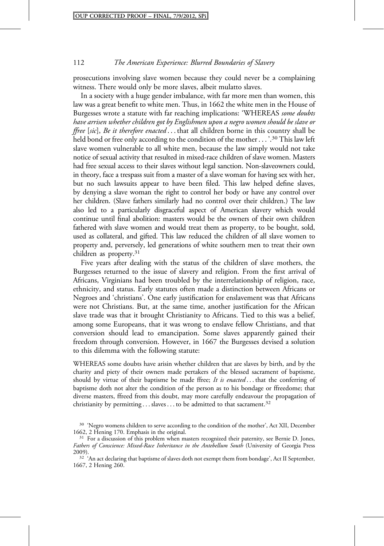prosecutions involving slave women because they could never be a complaining witness. There would only be more slaves, albeit mulatto slaves.

In a society with a huge gender imbalance, with far more men than women, this law was a great benefit to white men. Thus, in 1662 the white men in the House of Burgesses wrote a statute with far reaching implications: 'WHEREAS some doubts have arrisen whether children got by Englishmen upon a negro women should be slave or ffree [sic], Be it therefore enacted...that all children borne in this country shall be held bond or free only according to the condition of the mother . . . '.<sup>30</sup> This law left slave women vulnerable to all white men, because the law simply would not take notice of sexual activity that resulted in mixed-race children of slave women. Masters had free sexual access to their slaves without legal sanction. Non-slaveowners could, in theory, face a trespass suit from a master of a slave woman for having sex with her, but no such lawsuits appear to have been filed. This law helped define slaves, by denying a slave woman the right to control her body or have any control over her children. (Slave fathers similarly had no control over their children.) The law also led to a particularly disgraceful aspect of American slavery which would continue until final abolition: masters would be the owners of their own children fathered with slave women and would treat them as property, to be bought, sold, used as collateral, and gifted. This law reduced the children of all slave women to property and, perversely, led generations of white southern men to treat their own children as property.<sup>31</sup>

Five years after dealing with the status of the children of slave mothers, the Burgesses returned to the issue of slavery and religion. From the first arrival of Africans, Virginians had been troubled by the interrelationship of religion, race, ethnicity, and status. Early statutes often made a distinction between Africans or Negroes and 'christians'. One early justification for enslavement was that Africans were not Christians. But, at the same time, another justification for the African slave trade was that it brought Christianity to Africans. Tied to this was a belief, among some Europeans, that it was wrong to enslave fellow Christians, and that conversion should lead to emancipation. Some slaves apparently gained their freedom through conversion. However, in 1667 the Burgesses devised a solution to this dilemma with the following statute:

WHEREAS some doubts have arisin whether children that are slaves by birth, and by the charity and piety of their owners made pertakers of the blessed sacrament of baptisme, should by virtue of their baptisme be made ffree; It is enacted ... that the conferring of baptisme doth not alter the condition of the person as to his bondage or ffreedome; that diverse masters, ffreed from this doubt, may more carefully endeavour the propagation of christianity by permitting  $\dots$  slaves  $\dots$  to be admitted to that sacrament.<sup>32</sup>

<sup>&</sup>lt;sup>30</sup> 'Negro womens children to serve according to the condition of the mother', Act XII, December 1662, 2 Hening 170. Emphasis in the original.<br><sup>31</sup> For a discussion of this problem when masters recognized their paternity, see Bernie D. Jones,

Fathers of Conscience: Mixed-Race Inheritance in the Antebellum South (University of Georgia Press<br>2009).

<sup>&</sup>lt;sup>32</sup> 'An act declaring that baptisme of slaves doth not exempt them from bondage', Act II September, 1667, 2 Hening 260.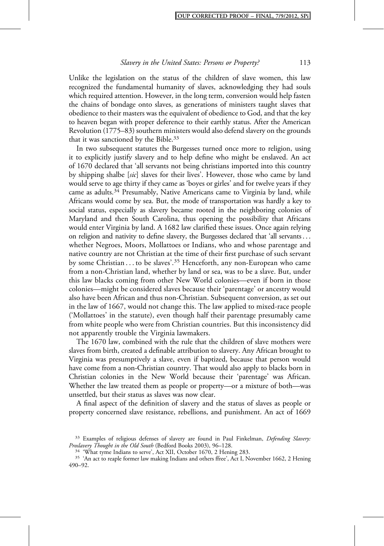Unlike the legislation on the status of the children of slave women, this law recognized the fundamental humanity of slaves, acknowledging they had souls which required attention. However, in the long term, conversion would help fasten the chains of bondage onto slaves, as generations of ministers taught slaves that obedience to their masters was the equivalent of obedience to God, and that the key to heaven began with proper deference to their earthly status. After the American Revolution (1775–83) southern ministers would also defend slavery on the grounds that it was sanctioned by the Bible.<sup>33</sup>

In two subsequent statutes the Burgesses turned once more to religion, using it to explicitly justify slavery and to help define who might be enslaved. An act of 1670 declared that 'all servants not being christians imported into this country by shipping shalbe [sic] slaves for their lives'. However, those who came by land would serve to age thirty if they came as 'boyes or girles' and for twelve years if they came as adults.<sup>34</sup> Presumably, Native Americans came to Virginia by land, while Africans would come by sea. But, the mode of transportation was hardly a key to social status, especially as slavery became rooted in the neighboring colonies of Maryland and then South Carolina, thus opening the possibility that Africans would enter Virginia by land. A 1682 law clarified these issues. Once again relying on religion and nativity to define slavery, the Burgesses declared that 'all servants . . . whether Negroes, Moors, Mollattoes or Indians, who and whose parentage and native country are not Christian at the time of their first purchase of such servant by some Christian . . . to be slaves'. <sup>35</sup> Henceforth, any non-European who came from a non-Christian land, whether by land or sea, was to be a slave. But, under this law blacks coming from other New World colonies—even if born in those colonies—might be considered slaves because their 'parentage' or ancestry would also have been African and thus non-Christian. Subsequent conversion, as set out in the law of 1667, would not change this. The law applied to mixed-race people ('Mollattoes' in the statute), even though half their parentage presumably came from white people who were from Christian countries. But this inconsistency did not apparently trouble the Virginia lawmakers.

The 1670 law, combined with the rule that the children of slave mothers were slaves from birth, created a definable attribution to slavery. Any African brought to Virginia was presumptively a slave, even if baptized, because that person would have come from a non-Christian country. That would also apply to blacks born in Christian colonies in the New World because their 'parentage' was African. Whether the law treated them as people or property—or a mixture of both—was unsettled, but their status as slaves was now clear.

A final aspect of the definition of slavery and the status of slaves as people or property concerned slave resistance, rebellions, and punishment. An act of 1669

 $33$  Examples of religious defenses of slavery are found in Paul Finkelman, *Defending Slavery: Proslavery Thought in the Old South* (Bedford Books 2003), 96-128.

<sup>&</sup>lt;sup>34</sup> 'What tyme Indians to serve', Act XII, October 1670, 2 Hening 283.<br><sup>35</sup> 'An act to reaple former law making Indians and others ffree', Act I, November 1662, 2 Hening 490–92.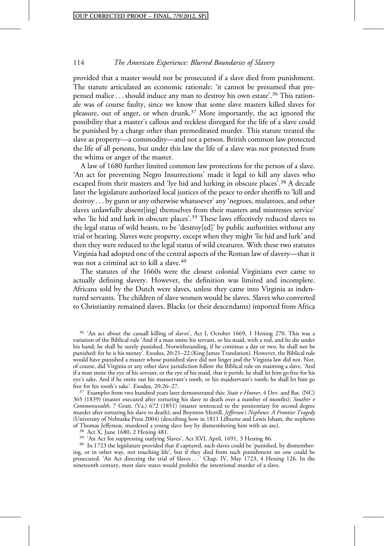provided that a master would not be prosecuted if a slave died from punishment. The statute articulated an economic rationale: 'it cannot be presumed that prepensed malice . . . should induce any man to destroy his own estate'.<sup>36</sup> This rationale was of course faulty, since we know that some slave masters killed slaves for pleasure, out of anger, or when drunk.37 More importantly, the act ignored the possibility that a master's callous and reckless disregard for the life of a slave could be punished by a charge other than premeditated murder. This statute treated the slave as property—a commodity—and not a person. British common law protected the life of all persons, but under this law the life of a slave was not protected from the whims or anger of the master.

A law of 1680 further limited common law protections for the person of a slave. 'An act for preventing Negro Insurrections' made it legal to kill any slaves who escaped from their masters and 'lye hid and lurking in obscure places'. <sup>38</sup> A decade later the legislature authorized local justices of the peace to order sheriffs to 'kill and destroy . . . by gunn or any otherwise whatsoever' any 'negroes, mulattoes, and other slaves unlawfully absent[ing] themselves from their masters and mistresses service' who 'lie hid and lurk in obscure places'. <sup>39</sup> These laws effectively reduced slaves to the legal status of wild beasts, to be 'destroy[ed]' by public authorities without any trial or hearing. Slaves were property, except when they might 'lie hid and lurk' and then they were reduced to the legal status of wild creatures. With these two statutes Virginia had adopted one of the central aspects of the Roman law of slavery—that it was not a criminal act to kill a slave.<sup>40</sup>

The statutes of the 1660s were the closest colonial Virginians ever came to actually defining slavery. However, the definition was limited and incomplete. Africans sold by the Dutch were slaves, unless they came into Virginia as indentured servants. The children of slave women would be slaves. Slaves who converted to Christianity remained slaves. Blacks (or their descendants) imported from Africa

<sup>&</sup>lt;sup>36</sup> 'An act about the casuall killing of slaves', Act I, October 1669, 1 Hening 270. This was a variation of the Biblical rule 'And if a man smite his servant, or his maid, with a rod, and he die under his hand; he shall be surely punished. Notwithstanding, if he continue a day or two, he shall not be punished: for he is his money'. Exodus, 20:21–22 (King James Translation). However, the Biblical rule would have punished a master whose punished slave did not linger and the Virginia law did not. Nor, of course, did Virginia or any other slave jurisdiction follow the Biblical rule on maiming a slave. 'And if a man smite the eye of his servant, or the eye of his maid, that it perish; he shall let him go free for his eye's sake. And if he smite out his manservant's tooth, or his maidservant's tooth; he shall let him go

<sup>&</sup>lt;sup>37</sup> Examples from two hundred years later demonstrated this: State v Hoover, 4 Dev. and Bat. (NC)  $365$  (1839) (master executed after torturing his slave to death over a number of months); Souther v Commonwealth, 7 Gratt. (Va.) 672 (1851) (master sentenced to the penitentiary for second degree murder after torturing his slave to death); and Boynton Merrill, Jefferson's Nephews: A Frontier Tragedy (University of Nebraska Press 2004) (describing how in 1811 Lilburne and Lewis Isham, the nephews

<sup>&</sup>lt;sup>38</sup> Act X, June 1680, 2 Hening 481.<br><sup>39</sup> 'An Act for suppressing outlying Slaves', Act XVI, April, 1691, 3 Hening 86.<br><sup>40</sup> In 1723 the legislature provided that if captured, such slaves could be 'punished, by dismembering, or in other way, not touching life', but if they died from such punishment no one could be prosecuted. 'An Act directing the trial of Slaves ...' Chap. IV, May 1723, 4 Hening 126. In the nineteenth century, most slave states would prohibit the intentional murder of a slave.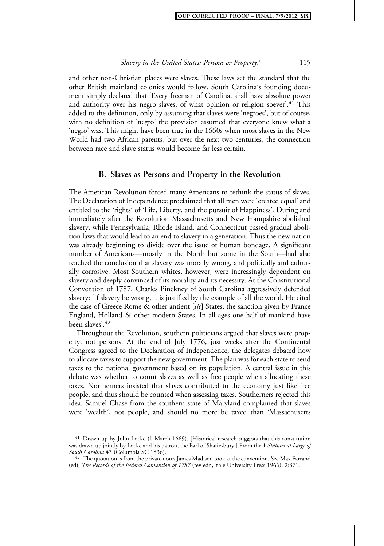and other non-Christian places were slaves. These laws set the standard that the other British mainland colonies would follow. South Carolina's founding document simply declared that 'Every freeman of Carolina, shall have absolute power and authority over his negro slaves, of what opinion or religion soever'. <sup>41</sup> This added to the definition, only by assuming that slaves were 'negroes', but of course, with no definition of 'negro' the provision assumed that everyone knew what a 'negro' was. This might have been true in the 1660s when most slaves in the New World had two African parents, but over the next two centuries, the connection between race and slave status would become far less certain.

#### B. Slaves as Persons and Property in the Revolution

The American Revolution forced many Americans to rethink the status of slaves. The Declaration of Independence proclaimed that all men were 'created equal' and entitled to the 'rights' of 'Life, Liberty, and the pursuit of Happiness'. During and immediately after the Revolution Massachusetts and New Hampshire abolished slavery, while Pennsylvania, Rhode Island, and Connecticut passed gradual abolition laws that would lead to an end to slavery in a generation. Thus the new nation was already beginning to divide over the issue of human bondage. A significant number of Americans—mostly in the North but some in the South—had also reached the conclusion that slavery was morally wrong, and politically and culturally corrosive. Most Southern whites, however, were increasingly dependent on slavery and deeply convinced of its morality and its necessity. At the Constitutional Convention of 1787, Charles Pinckney of South Carolina aggressively defended slavery: 'If slavery be wrong, it is justified by the example of all the world. He cited the case of Greece Rome  $\&$  other antient [sic] States; the sanction given by France England, Holland & other modern States. In all ages one half of mankind have been slaves'. 42

Throughout the Revolution, southern politicians argued that slaves were property, not persons. At the end of July 1776, just weeks after the Continental Congress agreed to the Declaration of Independence, the delegates debated how to allocate taxes to support the new government. The plan was for each state to send taxes to the national government based on its population. A central issue in this debate was whether to count slaves as well as free people when allocating these taxes. Northerners insisted that slaves contributed to the economy just like free people, and thus should be counted when assessing taxes. Southerners rejected this idea. Samuel Chase from the southern state of Maryland complained that slaves were 'wealth', not people, and should no more be taxed than 'Massachusetts

<sup>41</sup> Drawn up by John Locke (1 March 1669). [Historical research suggests that this constitution was drawn up jointly by Locke and his patron, the Earl of Shaftesbury.] From the 1 Statutes at Large of South Carolina 43 (Columbia SC 1836).

 $42$  The quotation is from the private notes James Madison took at the convention. See Max Farrand (ed), The Records of the Federal Convention of 1787 (rev edn, Yale University Press 1966), 2:371.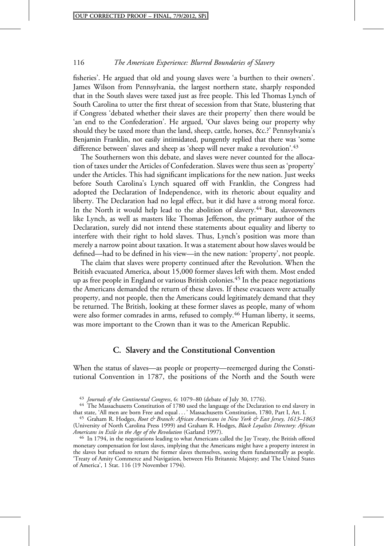fisheries'. He argued that old and young slaves were 'a burthen to their owners'. James Wilson from Pennsylvania, the largest northern state, sharply responded that in the South slaves were taxed just as free people. This led Thomas Lynch of South Carolina to utter the first threat of secession from that State, blustering that if Congress 'debated whether their slaves are their property' then there would be 'an end to the Confederation'. He argued, 'Our slaves being our property why should they be taxed more than the land, sheep, cattle, horses, &c.?' Pennsylvania's Benjamin Franklin, not easily intimidated, pungently replied that there was 'some difference between' slaves and sheep as 'sheep will never make a revolution'.<sup>43</sup>

The Southerners won this debate, and slaves were never counted for the allocation of taxes under the Articles of Confederation. Slaves were thus seen as 'property' under the Articles. This had significant implications for the new nation. Just weeks before South Carolina's Lynch squared off with Franklin, the Congress had adopted the Declaration of Independence, with its rhetoric about equality and liberty. The Declaration had no legal effect, but it did have a strong moral force. In the North it would help lead to the abolition of slavery.<sup>44</sup> But, slaveowners like Lynch, as well as masters like Thomas Jefferson, the primary author of the Declaration, surely did not intend these statements about equality and liberty to interfere with their right to hold slaves. Thus, Lynch's position was more than merely a narrow point about taxation. It was a statement about how slaves would be defined—had to be defined in his view—in the new nation: 'property', not people.

The claim that slaves were property continued after the Revolution. When the British evacuated America, about 15,000 former slaves left with them. Most ended up as free people in England or various British colonies.45 In the peace negotiations the Americans demanded the return of these slaves. If these evacuees were actually property, and not people, then the Americans could legitimately demand that they be returned. The British, looking at these former slaves as people, many of whom were also former comrades in arms, refused to comply.<sup>46</sup> Human liberty, it seems, was more important to the Crown than it was to the American Republic.

#### C. Slavery and the Constitutional Convention

When the status of slaves—as people or property—reemerged during the Constitutional Convention in 1787, the positions of the North and the South were

<sup>&</sup>lt;sup>43</sup> Journals of the Continental Congress, 6: 1079–80 (debate of July 30, 1776).<br><sup>44</sup> The Massachusetts Constitution of 1780 used the language of the Declaration to end slavery in that state, 'All men are born Free and eq

<sup>&</sup>lt;sup>45</sup> Graham R. Hodges, Root & Branch: African Americans in New York & East Jersey, 1613–1863 (University of North Carolina Press 1999) and Graham R. Hodges, *Black Loyalists Directory: African*<br>Americans in Exile in the Age of the Revolution (Garland 1997).

<sup>&</sup>lt;sup>46</sup> In 1794, in the negotiations leading to what Americans called the Jay Treaty, the British offered monetary compensation for lost slaves, implying that the Americans might have a property interest in the slaves but refused to return the former slaves themselves, seeing them fundamentally as people. 'Treaty of Amity Commerce and Navigation, between His Britannic Majesty; and The United States of America', 1 Stat. 116 (19 November 1794).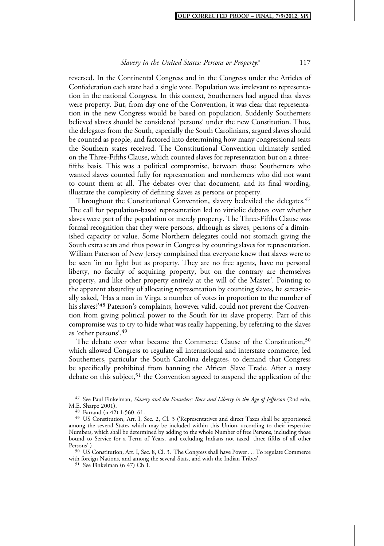reversed. In the Continental Congress and in the Congress under the Articles of Confederation each state had a single vote. Population was irrelevant to representation in the national Congress. In this context, Southerners had argued that slaves were property. But, from day one of the Convention, it was clear that representation in the new Congress would be based on population. Suddenly Southerners believed slaves should be considered 'persons' under the new Constitution. Thus, the delegates from the South, especially the South Carolinians, argued slaves should be counted as people, and factored into determining how many congressional seats the Southern states received. The Constitutional Convention ultimately settled on the Three-Fifths Clause, which counted slaves for representation but on a threefifths basis. This was a political compromise, between those Southerners who wanted slaves counted fully for representation and northerners who did not want to count them at all. The debates over that document, and its final wording, illustrate the complexity of defining slaves as persons or property.

Throughout the Constitutional Convention, slavery bedeviled the delegates.<sup>47</sup> The call for population-based representation led to vitriolic debates over whether slaves were part of the population or merely property. The Three-Fifths Clause was formal recognition that they were persons, although as slaves, persons of a diminished capacity or value. Some Northern delegates could not stomach giving the South extra seats and thus power in Congress by counting slaves for representation. William Paterson of New Jersey complained that everyone knew that slaves were to be seen 'in no light but as property. They are no free agents, have no personal liberty, no faculty of acquiring property, but on the contrary are themselves property, and like other property entirely at the will of the Master'. Pointing to the apparent absurdity of allocating representation by counting slaves, he sarcastically asked, 'Has a man in Virga. a number of votes in proportion to the number of his slaves?' <sup>48</sup> Paterson's complaints, however valid, could not prevent the Convention from giving political power to the South for its slave property. Part of this compromise was to try to hide what was really happening, by referring to the slaves as 'other persons'. 49

The debate over what became the Commerce Clause of the Constitution,<sup>50</sup> which allowed Congress to regulate all international and interstate commerce, led Southerners, particular the South Carolina delegates, to demand that Congress be specifically prohibited from banning the African Slave Trade. After a nasty debate on this subject,<sup>51</sup> the Convention agreed to suspend the application of the

 $47$  See Paul Finkelman, Slavery and the Founders: Race and Liberty in the Age of Jefferson (2nd edn, M.E. Sharpe 2001).

<sup>&</sup>lt;sup>48</sup> Farrand (n 42) 1:560–61.<br><sup>49</sup> US Constitution, Art. I, Sec. 2, Cl. 3 ('Representatives and direct Taxes shall be apportioned among the several States which may be included within this Union, according to their respective Numbers, which shall be determined by adding to the whole Number of free Persons, including those bound to Service for a Term of Years, and excluding Indians not taxed, three fifths of all other Persons'.)<br><sup>50</sup> US Constitution, Art. I, Sec. 8, Cl. 3. 'The Congress shall have Power . . . To regulate Commerce

with foreign Nations, and among the several Stats, and with the Indian Tribes'.  $51$  See Finkelman (n 47) Ch 1.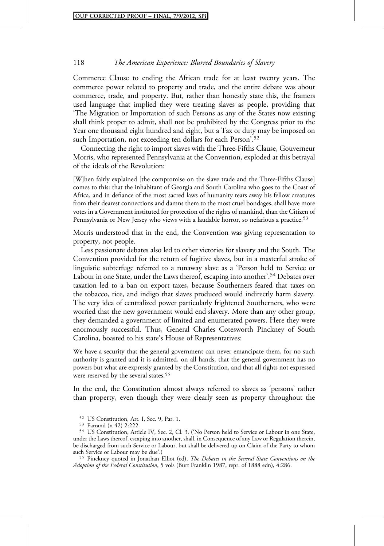Commerce Clause to ending the African trade for at least twenty years. The commerce power related to property and trade, and the entire debate was about commerce, trade, and property. But, rather than honestly state this, the framers used language that implied they were treating slaves as people, providing that 'The Migration or Importation of such Persons as any of the States now existing shall think proper to admit, shall not be prohibited by the Congress prior to the Year one thousand eight hundred and eight, but a Tax or duty may be imposed on such Importation, not exceeding ten dollars for each Person'. 52

Connecting the right to import slaves with the Three-Fifths Clause, Gouverneur Morris, who represented Pennsylvania at the Convention, exploded at this betrayal of the ideals of the Revolution:

[W]hen fairly explained [the compromise on the slave trade and the Three-Fifths Clause] comes to this: that the inhabitant of Georgia and South Carolina who goes to the Coast of Africa, and in defiance of the most sacred laws of humanity tears away his fellow creatures from their dearest connections and damns them to the most cruel bondages, shall have more votes in a Government instituted for protection of the rights of mankind, than the Citizen of Pennsylvania or New Jersey who views with a laudable horror, so nefarious a practice.<sup>53</sup>

Morris understood that in the end, the Convention was giving representation to property, not people.

Less passionate debates also led to other victories for slavery and the South. The Convention provided for the return of fugitive slaves, but in a masterful stroke of linguistic subterfuge referred to a runaway slave as a 'Person held to Service or Labour in one State, under the Laws thereof, escaping into another'. <sup>54</sup> Debates over taxation led to a ban on export taxes, because Southerners feared that taxes on the tobacco, rice, and indigo that slaves produced would indirectly harm slavery. The very idea of centralized power particularly frightened Southerners, who were worried that the new government would end slavery. More than any other group, they demanded a government of limited and enumerated powers. Here they were enormously successful. Thus, General Charles Cotesworth Pinckney of South Carolina, boasted to his state's House of Representatives:

We have a security that the general government can never emancipate them, for no such authority is granted and it is admitted, on all hands, that the general government has no powers but what are expressly granted by the Constitution, and that all rights not expressed were reserved by the several states.<sup>55</sup>

In the end, the Constitution almost always referred to slaves as 'persons' rather than property, even though they were clearly seen as property throughout the

55 Pinckney quoted in Jonathan Elliot (ed), The Debates in the Several State Conventions on the Adoption of the Federal Constitution, 5 vols (Burt Franklin 1987, repr. of 1888 edn), 4:286.

<sup>52</sup> US Constitution, Art. I, Sec. 9, Par. 1. <sup>53</sup> Farrand (n 42) 2:222. <sup>54</sup> US Constitution, Article IV, Sec. 2, Cl. 3. ('No Person held to Service or Labour in one State, under the Laws thereof, escaping into another, shall, in Consequence of any Law or Regulation therein, be discharged from such Service or Labour, but shall be delivered up on Claim of the Party to whom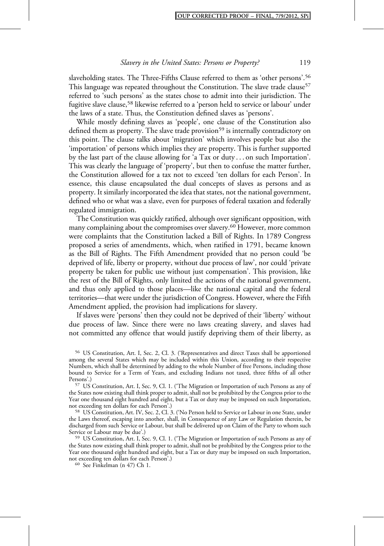slaveholding states. The Three-Fifths Clause referred to them as 'other persons'. 56 This language was repeated throughout the Constitution. The slave trade clause<sup>57</sup> referred to 'such persons' as the states chose to admit into their jurisdiction. The fugitive slave clause,<sup>58</sup> likewise referred to a 'person held to service or labour' under the laws of a state. Thus, the Constitution defined slaves as 'persons'.

While mostly defining slaves as 'people', one clause of the Constitution also defined them as property. The slave trade provision<sup>59</sup> is internally contradictory on this point. The clause talks about 'migration' which involves people but also the 'importation' of persons which implies they are property. This is further supported by the last part of the clause allowing for 'a Tax or duty . . . on such Importation'. This was clearly the language of 'property', but then to confuse the matter further, the Constitution allowed for a tax not to exceed 'ten dollars for each Person'. In essence, this clause encapsulated the dual concepts of slaves as persons and as property. It similarly incorporated the idea that states, not the national government, defined who or what was a slave, even for purposes of federal taxation and federally regulated immigration.

The Constitution was quickly ratified, although over significant opposition, with many complaining about the compromises over slavery.<sup>60</sup> However, more common were complaints that the Constitution lacked a Bill of Rights. In 1789 Congress proposed a series of amendments, which, when ratified in 1791, became known as the Bill of Rights. The Fifth Amendment provided that no person could 'be deprived of life, liberty or property, without due process of law', nor could 'private property be taken for public use without just compensation'. This provision, like the rest of the Bill of Rights, only limited the actions of the national government, and thus only applied to those places—like the national capital and the federal territories—that were under the jurisdiction of Congress. However, where the Fifth Amendment applied, the provision had implications for slavery.

If slaves were 'persons' then they could not be deprived of their 'liberty' without due process of law. Since there were no laws creating slavery, and slaves had not committed any offence that would justify depriving them of their liberty, as

58 US Constitution, Art. IV, Sec. 2, Cl. 3. ('No Person held to Service or Labour in one State, under the Laws thereof, escaping into another, shall, in Consequence of any Law or Regulation therein, be discharged from such Service or Labour, but shall be delivered up on Claim of the Party to whom such Service or Labour may be due'.) <sup>59</sup> US Constitution, Art. I, Sec. 9, Cl. 1. ('The Migration or Importation of such Persons as any of

the States now existing shall think proper to admit, shall not be prohibited by the Congress prior to the Year one thousand eight hundred and eight, but a Tax or duty may be imposed on such Importation,

<sup>56</sup> US Constitution, Art. I, Sec. 2, Cl. 3. ('Representatives and direct Taxes shall be apportioned among the several States which may be included within this Union, according to their respective Numbers, which shall be determined by adding to the whole Number of free Persons, including those bound to Service for a Term of Years, and excluding Indians not taxed, three fifths of all other

<sup>&</sup>lt;sup>57</sup> US Constitution, Art. I, Sec. 9, Cl. 1. ('The Migration or Importation of such Persons as any of the States now existing shall think proper to admit, shall not be prohibited by the Congress prior to the Year one thousand eight hundred and eight, but a Tax or duty may be imposed on such Importation,

 $60$  See Finkelman (n 47) Ch 1.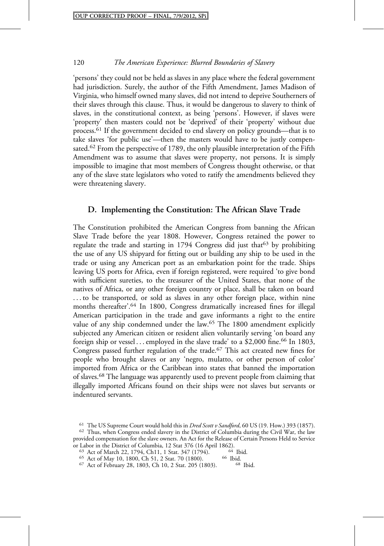'persons' they could not be held as slaves in any place where the federal government had jurisdiction. Surely, the author of the Fifth Amendment, James Madison of Virginia, who himself owned many slaves, did not intend to deprive Southerners of their slaves through this clause. Thus, it would be dangerous to slavery to think of slaves, in the constitutional context, as being 'persons'. However, if slaves were 'property' then masters could not be 'deprived' of their 'property' without due process.<sup>61</sup> If the government decided to end slavery on policy grounds—that is to take slaves 'for public use'—then the masters would have to be justly compensated.<sup>62</sup> From the perspective of 1789, the only plausible interpretation of the Fifth Amendment was to assume that slaves were property, not persons. It is simply impossible to imagine that most members of Congress thought otherwise, or that any of the slave state legislators who voted to ratify the amendments believed they were threatening slavery.

#### D. Implementing the Constitution: The African Slave Trade

The Constitution prohibited the American Congress from banning the African Slave Trade before the year 1808. However, Congress retained the power to regulate the trade and starting in  $1794$  Congress did just that<sup>63</sup> by prohibiting the use of any US shipyard for fitting out or building any ship to be used in the trade or using any American port as an embarkation point for the trade. Ships leaving US ports for Africa, even if foreign registered, were required 'to give bond with sufficient sureties, to the treasurer of the United States, that none of the natives of Africa, or any other foreign country or place, shall be taken on board ... to be transported, or sold as slaves in any other foreign place, within nine months thereafter'. <sup>64</sup> In 1800, Congress dramatically increased fines for illegal American participation in the trade and gave informants a right to the entire value of any ship condemned under the law.<sup>65</sup> The 1800 amendment explicitly subjected any American citizen or resident alien voluntarily serving 'on board any foreign ship or vessel... employed in the slave trade' to a  $$2,000$  fine.<sup>66</sup> In 1803, Congress passed further regulation of the trade.<sup>67</sup> This act created new fines for people who brought slaves or any 'negro, mulatto, or other person of color' imported from Africa or the Caribbean into states that banned the importation of slaves.<sup>68</sup> The language was apparently used to prevent people from claiming that illegally imported Africans found on their ships were not slaves but servants or indentured servants.

<sup>&</sup>lt;sup>61</sup> The US Supreme Court would hold this in *Dred Scott v Sandford*, 60 US (19. How.) 393 (1857). <sup>62</sup> Thus, when Congress ended slavery in the District of Columbia during the Civil War, the law provided compensation for the slave owners. An Act for the Release of Certain Persons Held to Service or Labor in the District of Columbia, 12 Stat 376 (16 April 1862).

<sup>&</sup>lt;sup>63</sup> Act of March 22, 1794, Ch11, 1 Stat. 347 (1794). <sup>64</sup> Ibid.<br><sup>65</sup> Act of May 10, 1800, Ch 51, 2 Stat. 70 (1800). <sup>66</sup> Ibid.<br><sup>67</sup> Act of February 28, 1803, Ch 10, 2 Stat. 205 (1803). <sup>68</sup> Ibid.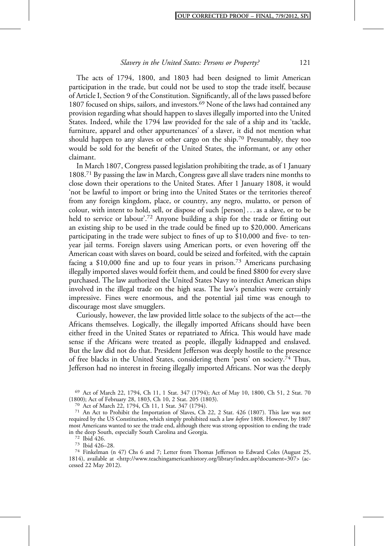The acts of 1794, 1800, and 1803 had been designed to limit American participation in the trade, but could not be used to stop the trade itself, because of Article I, Section 9 of the Constitution. Significantly, all of the laws passed before 1807 focused on ships, sailors, and investors.<sup>69</sup> None of the laws had contained any provision regarding what should happen to slaves illegally imported into the United States. Indeed, while the 1794 law provided for the sale of a ship and its 'tackle, furniture, apparel and other appurtenances' of a slaver, it did not mention what should happen to any slaves or other cargo on the ship.<sup>70</sup> Presumably, they too would be sold for the benefit of the United States, the informant, or any other claimant.

In March 1807, Congress passed legislation prohibiting the trade, as of 1 January 1808.71 By passing the law in March, Congress gave all slave traders nine months to close down their operations to the United States. After 1 January 1808, it would 'not be lawful to import or bring into the United States or the territories thereof from any foreign kingdom, place, or country, any negro, mulatto, or person of colour, with intent to hold, sell, or dispose of such [person] . . . as a slave, or to be held to service or labour'. <sup>72</sup> Anyone building a ship for the trade or fitting out an existing ship to be used in the trade could be fined up to \$20,000. Americans participating in the trade were subject to fines of up to \$10,000 and five- to tenyear jail terms. Foreign slavers using American ports, or even hovering off the American coast with slaves on board, could be seized and forfeited, with the captain facing a  $$10,000$  fine and up to four years in prison.<sup>73</sup> Americans purchasing illegally imported slaves would forfeit them, and could be fined \$800 for every slave purchased. The law authorized the United States Navy to interdict American ships involved in the illegal trade on the high seas. The law's penalties were certainly impressive. Fines were enormous, and the potential jail time was enough to discourage most slave smugglers.

Curiously, however, the law provided little solace to the subjects of the act—the Africans themselves. Logically, the illegally imported Africans should have been either freed in the United States or repatriated to Africa. This would have made sense if the Africans were treated as people, illegally kidnapped and enslaved. But the law did not do that. President Jefferson was deeply hostile to the presence of free blacks in the United States, considering them 'pests' on society.74 Thus, Jefferson had no interest in freeing illegally imported Africans. Nor was the deeply

<sup>69</sup> Act of March 22, 1794, Ch 11, 1 Stat. 347 (1794); Act of May 10, 1800, Ch 51, 2 Stat. 70 (1800); Act of February 28, 1803, Ch 10, 2 Stat. 205 (1803).

<sup>70</sup> Act of March 22, 1794, Ch 11, 1 Stat. 347 (1794).<br><sup>71</sup> An Act to Prohibit the Importation of Slaves, Ch 22, 2 Stat. 426 (1807). This law was not required by the US Constitution, which simply prohibited such a law before 1808. However, by 1807 most Americans wanted to see the trade end, although there was strong opposition to ending the trade

<sup>72</sup> Ibid 426.  $\frac{1}{73}$  Ibid 426–28.  $\frac{1}{74}$  Finkelman (n 47) Chs 6 and 7; Letter from Thomas Jefferson to Edward Coles (August 25, 1814), available at <http://www.teachingamericanhistory.org/library/index.asp?document=307> (accessed 22 May 2012).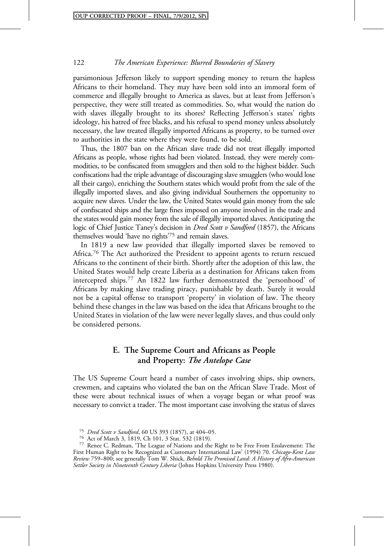parsimonious Jefferson likely to support spending money to return the hapless Africans to their homeland. They may have been sold into an immoral form of commerce and illegally brought to America as slaves, but at least from Jefferson's perspective, they were still treated as commodities. So, what would the nation do with slaves illegally brought to its shores? Reflecting Jefferson's states' rights ideology, his hatred of free blacks, and his refusal to spend money unless absolutely necessary, the law treated illegally imported Africans as property, to be turned over to authorities in the state where they were found, to be sold.

Thus, the 1807 ban on the African slave trade did not treat illegally imported Africans as people, whose rights had been violated. Instead, they were merely commodities, to be confiscated from smugglers and then sold to the highest bidder. Such confiscations had the triple advantage of discouraging slave smugglers (who would lose all their cargo), enriching the Southern states which would profit from the sale of the illegally imported slaves, and also giving individual Southerners the opportunity to acquire new slaves. Under the law, the United States would gain money from the sale of confiscated ships and the large fines imposed on anyone involved in the trade and the states would gain money from the sale of illegally imported slaves. Anticipating the logic of Chief Justice Taney's decision in *Dred Scott v Sandford* (1857), the Africans themselves would 'have no rights' <sup>75</sup> and remain slaves.

In 1819 a new law provided that illegally imported slaves be removed to Africa.<sup>76</sup> The Act authorized the President to appoint agents to return rescued Africans to the continent of their birth. Shortly after the adoption of this law, the United States would help create Liberia as a destination for Africans taken from intercepted ships.<sup>77</sup> An 1822 law further demonstrated the 'personhood' of Africans by making slave trading piracy, punishable by death. Surely it would not be a capital offense to transport 'property' in violation of law. The theory behind these changes in the law was based on the idea that Africans brought to the United States in violation of the law were never legally slaves, and thus could only be considered persons.

### E. The Supreme Court and Africans as People and Property: The Antelope Case

The US Supreme Court heard a number of cases involving ships, ship owners, crewmen, and captains who violated the ban on the African Slave Trade. Most of these were about technical issues of when a voyage began or what proof was necessary to convict a trader. The most important case involving the status of slaves

<sup>75</sup> Dred Scott v Sandford, 60 US 393 (1857), at  $404-05$ .<br>76 Act of March 3, 1819, Ch 101, 3 Stat. 532 (1819).<br>77 Renee C. Redman, 'The League of Nations and the Right to be Free From Enslavement: The First Human Right to be Recognized as Customary International Law' (1994) 70. Chicago-Kent Law Review 759–800; see generally Tom W. Shick, Behold The Promised Land: A History of Afro-American Settler Society in Nineteenth Century Liberia (Johns Hopkins University Press 1980).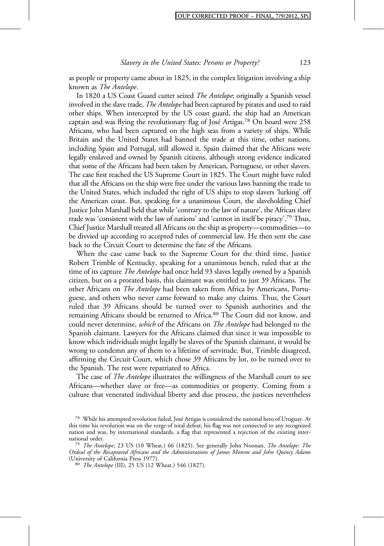as people or property came about in 1825, in the complex litigation involving a ship known as The Antelope.

In 1820 a US Coast Guard cutter seized *The Antelope*; originally a Spanish vessel involved in the slave trade, *The Antelope* had been captured by pirates and used to raid other ships. When intercepted by the US coast guard, the ship had an American captain and was flying the revolutionary flag of José Artigas.78 On board were 258 Africans, who had been captured on the high seas from a variety of ships. While Britain and the United States had banned the trade at this time, other nations, including Spain and Portugal, still allowed it. Spain claimed that the Africans were legally enslaved and owned by Spanish citizens, although strong evidence indicated that some of the Africans had been taken by American, Portuguese, or other slavers. The case first reached the US Supreme Court in 1825. The Court might have ruled that all the Africans on the ship were free under the various laws banning the trade to the United States, which included the right of US ships to stop slavers 'lurking' off the American coast. But, speaking for a unanimous Court, the slaveholding Chief Justice John Marshall held that while 'contrary to the law of nature', the African slave trade was 'consistent with the law of nations' and 'cannot in itself be piracy'. <sup>79</sup> Thus, Chief Justice Marshall treated all Africans on the ship as property—commodities—to be divvied up according to accepted rules of commercial law. He then sent the case back to the Circuit Court to determine the fate of the Africans.

When the case came back to the Supreme Court for the third time, Justice Robert Trimble of Kentucky, speaking for a unanimous bench, ruled that at the time of its capture *The Antelope* had once held 93 slaves legally owned by a Spanish citizen, but on a prorated basis, this claimant was entitled to just 39 Africans. The other Africans on *The Antelope* had been taken from Africa by Americans, Portuguese, and others who never came forward to make any claims. Thus, the Court ruled that 39 Africans should be turned over to Spanish authorities and the remaining Africans should be returned to Africa.<sup>80</sup> The Court did not know, and could never determine, which of the Africans on *The Antelope* had belonged to the Spanish claimant. Lawyers for the Africans claimed that since it was impossible to know which individuals might legally be slaves of the Spanish claimant, it would be wrong to condemn any of them to a lifetime of servitude. But, Trimble disagreed, affirming the Circuit Court, which chose 39 Africans by lot, to be turned over to the Spanish. The rest were repatriated to Africa.

The case of *The Antelope* illustrates the willingness of the Marshall court to see Africans—whether slave or free—as commodities or property. Coming from a culture that venerated individual liberty and due process, the justices nevertheless

<sup>78</sup> While his attempted revolution failed, José Artigas is considered the national hero of Uruguay. At this time his revolution was on the verge of total defeat; his flag was not connected to any recognized nation and was, by international standards, a flag that represented a rejection of the existing inter-

<sup>&</sup>lt;sup>79</sup> The Antelope, 23 US (10 Wheat.) 66 (1825). See generally John Noonan, The Antelope: The Ordeal of the Recaptured Africans and the Administrations of James Monroe and John Quincy Adams

<sup>&</sup>lt;sup>80</sup> The Antelope (III), 25 US (12 Wheat.) 546 (1827).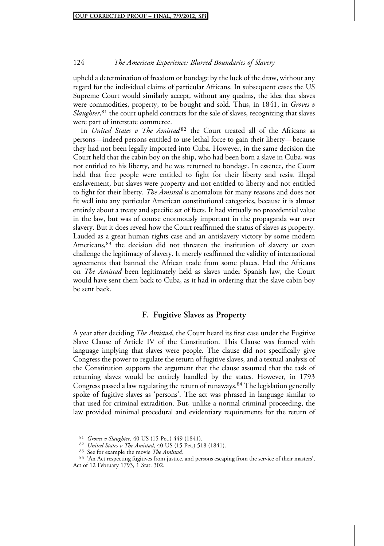upheld a determination of freedom or bondage by the luck of the draw, without any regard for the individual claims of particular Africans. In subsequent cases the US Supreme Court would similarly accept, without any qualms, the idea that slaves were commodities, property, to be bought and sold. Thus, in 1841, in Groves v Slaughter,<sup>81</sup> the court upheld contracts for the sale of slaves, recognizing that slaves were part of interstate commerce.

In *United States v The Amistad*<sup>82</sup> the Court treated all of the Africans as persons—indeed persons entitled to use lethal force to gain their liberty—because they had not been legally imported into Cuba. However, in the same decision the Court held that the cabin boy on the ship, who had been born a slave in Cuba, was not entitled to his liberty, and he was returned to bondage. In essence, the Court held that free people were entitled to fight for their liberty and resist illegal enslavement, but slaves were property and not entitled to liberty and not entitled to fight for their liberty. *The Amistad* is anomalous for many reasons and does not fit well into any particular American constitutional categories, because it is almost entirely about a treaty and specific set of facts. It had virtually no precedential value in the law, but was of course enormously important in the propaganda war over slavery. But it does reveal how the Court reaffirmed the status of slaves as property. Lauded as a great human rights case and an antislavery victory by some modern Americans,<sup>83</sup> the decision did not threaten the institution of slavery or even challenge the legitimacy of slavery. It merely reaffirmed the validity of international agreements that banned the African trade from some places. Had the Africans on *The Amistad* been legitimately held as slaves under Spanish law, the Court would have sent them back to Cuba, as it had in ordering that the slave cabin boy be sent back.

#### F. Fugitive Slaves as Property

A year after deciding *The Amistad*, the Court heard its first case under the Fugitive Slave Clause of Article IV of the Constitution. This Clause was framed with language implying that slaves were people. The clause did not specifically give Congress the power to regulate the return of fugitive slaves, and a textual analysis of the Constitution supports the argument that the clause assumed that the task of returning slaves would be entirely handled by the states. However, in 1793 Congress passed a law regulating the return of runaways.<sup>84</sup> The legislation generally spoke of fugitive slaves as 'persons'. The act was phrased in language similar to that used for criminal extradition. But, unlike a normal criminal proceeding, the law provided minimal procedural and evidentiary requirements for the return of

<sup>&</sup>lt;sup>81</sup> Groves v Slaughter, 40 US (15 Pet.) 449 (1841).<br><sup>82</sup> United States v The Amistad, 40 US (15 Pet.) 518 (1841).<br><sup>83</sup> See for example the movie *The Amistad.*<br><sup>84</sup> 'An Act respecting fugitives from justice, and persons Act of 12 February 1793, 1 Stat. 302.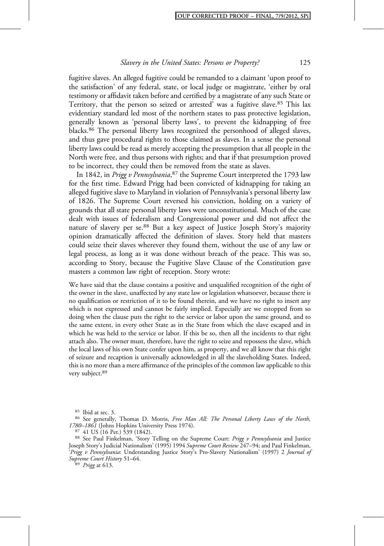fugitive slaves. An alleged fugitive could be remanded to a claimant 'upon proof to the satisfaction' of any federal, state, or local judge or magistrate, 'either by oral testimony or affidavit taken before and certified by a magistrate of any such State or Territory, that the person so seized or arrested' was a fugitive slave.<sup>85</sup> This lax evidentiary standard led most of the northern states to pass protective legislation, generally known as 'personal liberty laws', to prevent the kidnapping of free blacks.86 The personal liberty laws recognized the personhood of alleged slaves, and thus gave procedural rights to those claimed as slaves. In a sense the personal liberty laws could be read as merely accepting the presumption that all people in the North were free, and thus persons with rights; and that if that presumption proved to be incorrect, they could then be removed from the state as slaves.

In 1842, in Prigg v Pennsylvania, 87 the Supreme Court interpreted the 1793 law for the first time. Edward Prigg had been convicted of kidnapping for taking an alleged fugitive slave to Maryland in violation of Pennsylvania's personal liberty law of 1826. The Supreme Court reversed his conviction, holding on a variety of grounds that all state personal liberty laws were unconstitutional. Much of the case dealt with issues of federalism and Congressional power and did not affect the nature of slavery per se.<sup>88</sup> But a key aspect of Justice Joseph Story's majority opinion dramatically affected the definition of slaves. Story held that masters could seize their slaves wherever they found them, without the use of any law or legal process, as long as it was done without breach of the peace. This was so, according to Story, because the Fugitive Slave Clause of the Constitution gave masters a common law right of reception. Story wrote:

We have said that the clause contains a positive and unqualified recognition of the right of the owner in the slave, unaffected by any state law or legislation whatsoever, because there is no qualification or restriction of it to be found therein, and we have no right to insert any which is not expressed and cannot be fairly implied. Especially are we estopped from so doing when the clause puts the right to the service or labor upon the same ground, and to the same extent, in every other State as in the State from which the slave escaped and in which he was held to the service or labor. If this be so, then all the incidents to that right attach also. The owner must, therefore, have the right to seize and repossess the slave, which the local laws of his own State confer upon him, as property, and we all know that this right of seizure and recaption is universally acknowledged in all the slaveholding States. Indeed, this is no more than a mere affirmance of the principles of the common law applicable to this very subject.<sup>89</sup>

<sup>87</sup> 41 US (16 Pet.) 539 (1842).<br><sup>88</sup> See Paul Finkelman, 'Story Telling on the Supreme Court: *Prigg v Pennsylvania* and Justice Joseph Story's Judicial Nationalism' (1995) 1994 Supreme Court Review 247-94; and Paul Finkelman, 'Prigg v Pennsylvania: Understanding Justice Story's Pro-Slavery Nationalism' (1997) 2 Journal of Supreme Court History 51–64.<br><sup>89</sup> Prigg at 613.

<sup>&</sup>lt;sup>85</sup> Ibid at sec. 3.<br><sup>86</sup> See generally, Thomas D. Morris, *Free Man All: The Personal Liberty Laws of the North,*  $1780-1861$  (Johns Hopkins University Press 1974).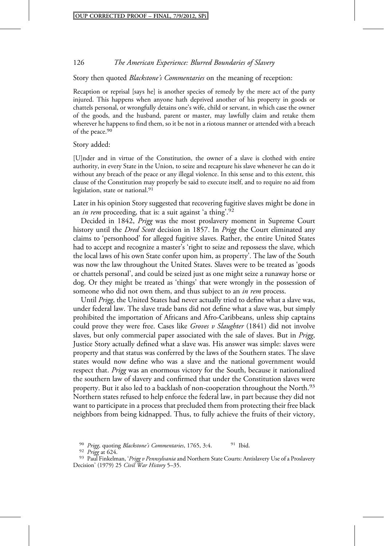Story then quoted *Blackstone's Commentaries* on the meaning of reception:

Recaption or reprisal [says he] is another species of remedy by the mere act of the party injured. This happens when anyone hath deprived another of his property in goods or chattels personal, or wrongfully detains one's wife, child or servant, in which case the owner of the goods, and the husband, parent or master, may lawfully claim and retake them wherever he happens to find them, so it be not in a riotous manner or attended with a breach of the peace.<sup>90</sup>

#### Story added:

[U]nder and in virtue of the Constitution, the owner of a slave is clothed with entire authority, in every State in the Union, to seize and recapture his slave whenever he can do it without any breach of the peace or any illegal violence. In this sense and to this extent, this clause of the Constitution may properly be said to execute itself, and to require no aid from legislation, state or national.<sup>91</sup>

Later in his opinion Story suggested that recovering fugitive slaves might be done in an *in rem* proceeding, that is: a suit against 'a thing'.<sup>92</sup>

Decided in 1842, Prigg was the most proslavery moment in Supreme Court history until the *Dred Scott* decision in 1857. In *Prigg* the Court eliminated any claims to 'personhood' for alleged fugitive slaves. Rather, the entire United States had to accept and recognize a master's 'right to seize and repossess the slave, which the local laws of his own State confer upon him, as property'. The law of the South was now the law throughout the United States. Slaves were to be treated as 'goods or chattels personal', and could be seized just as one might seize a runaway horse or dog. Or they might be treated as 'things' that were wrongly in the possession of someone who did not own them, and thus subject to an *in rem* process.

Until *Prigg*, the United States had never actually tried to define what a slave was, under federal law. The slave trade bans did not define what a slave was, but simply prohibited the importation of Africans and Afro-Caribbeans, unless ship captains could prove they were free. Cases like *Groves v Slaughter*  $(1841)$  did not involve slaves, but only commercial paper associated with the sale of slaves. But in Prigg, Justice Story actually defined what a slave was. His answer was simple: slaves were property and that status was conferred by the laws of the Southern states. The slave states would now define who was a slave and the national government would respect that. Prigg was an enormous victory for the South, because it nationalized the southern law of slavery and confirmed that under the Constitution slaves were property. But it also led to a backlash of non-cooperation throughout the North.<sup>93</sup> Northern states refused to help enforce the federal law, in part because they did not want to participate in a process that precluded them from protecting their free black neighbors from being kidnapped. Thus, to fully achieve the fruits of their victory,

<sup>&</sup>lt;sup>90</sup> *Prigg*, quoting *Blackstone's Commentaries*, 1765, 3:4. <sup>91</sup> Ibid. <sup>92</sup> Prigg at 624. <sup>92</sup> Prigg at 624. <sup>93</sup> Paul Finkelman, '*Prigg v Pennsylvania* and Northern State Courts: Antislavery Use of a Proslavery Decision' (1979) 25 Civil War History 5-35.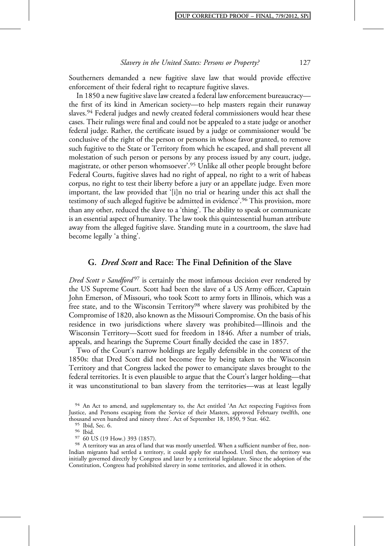Southerners demanded a new fugitive slave law that would provide effective enforcement of their federal right to recapture fugitive slaves.

In 1850 a new fugitive slave law created a federal law enforcement bureaucracy the first of its kind in American society—to help masters regain their runaway slaves.<sup>94</sup> Federal judges and newly created federal commissioners would hear these cases. Their rulings were final and could not be appealed to a state judge or another federal judge. Rather, the certificate issued by a judge or commissioner would 'be conclusive of the right of the person or persons in whose favor granted, to remove such fugitive to the State or Territory from which he escaped, and shall prevent all molestation of such person or persons by any process issued by any court, judge, magistrate, or other person whomsoever'. <sup>95</sup> Unlike all other people brought before Federal Courts, fugitive slaves had no right of appeal, no right to a writ of habeas corpus, no right to test their liberty before a jury or an appellate judge. Even more important, the law provided that '[i]n no trial or hearing under this act shall the testimony of such alleged fugitive be admitted in evidence'. <sup>96</sup> This provision, more than any other, reduced the slave to a 'thing'. The ability to speak or communicate is an essential aspect of humanity. The law took this quintessential human attribute away from the alleged fugitive slave. Standing mute in a courtroom, the slave had become legally 'a thing'.

#### G. Dred Scott and Race: The Final Definition of the Slave

Dred Scott v Sandford<sup>97</sup> is certainly the most infamous decision ever rendered by the US Supreme Court. Scott had been the slave of a US Army officer, Captain John Emerson, of Missouri, who took Scott to army forts in Illinois, which was a free state, and to the Wisconsin Territory<sup>98</sup> where slavery was prohibited by the Compromise of 1820, also known as the Missouri Compromise. On the basis of his residence in two jurisdictions where slavery was prohibited—Illinois and the Wisconsin Territory—Scott sued for freedom in 1846. After a number of trials, appeals, and hearings the Supreme Court finally decided the case in 1857.

Two of the Court's narrow holdings are legally defensible in the context of the 1850s: that Dred Scott did not become free by being taken to the Wisconsin Territory and that Congress lacked the power to emancipate slaves brought to the federal territories. It is even plausible to argue that the Court's larger holding—that it was unconstitutional to ban slavery from the territories—was at least legally

<sup>95</sup> Ibid, Sec. 6.<br><sup>96</sup> Ibid.<br><sup>97</sup> 60 US (19 How.) 393 (1857).<br><sup>98</sup> A territory was an area of land that was mostly unsettled. When a sufficient number of free, non-Indian migrants had settled a territory, it could apply for statehood. Until then, the territory was initially governed directly by Congress and later by a territorial legislature. Since the adoption of the Constitution, Congress had prohibited slavery in some territories, and allowed it in others.

<sup>&</sup>lt;sup>94</sup> An Act to amend, and supplementary to, the Act entitled 'An Act respecting Fugitives from Justice, and Persons escaping from the Service of their Masters, approved February twelfth, one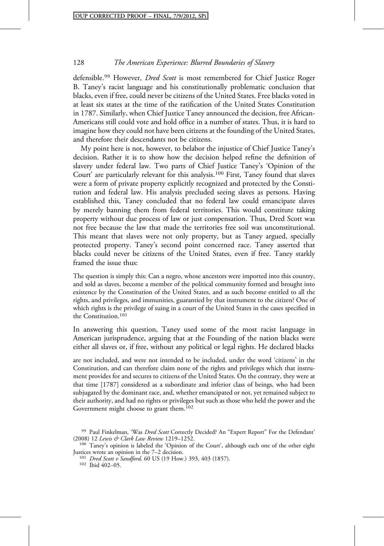defensible.<sup>99</sup> However, *Dred Scott* is most remembered for Chief Justice Roger B. Taney's racist language and his constitutionally problematic conclusion that blacks, even if free, could never be citizens of the United States. Free blacks voted in at least six states at the time of the ratification of the United States Constitution in 1787. Similarly, when Chief Justice Taney announced the decision, free African-Americans still could vote and hold office in a number of states. Thus, it is hard to imagine how they could not have been citizens at the founding of the United States, and therefore their descendants not be citizens.

My point here is not, however, to belabor the injustice of Chief Justice Taney's decision. Rather it is to show how the decision helped refine the definition of slavery under federal law. Two parts of Chief Justice Taney's 'Opinion of the Court' are particularly relevant for this analysis.<sup>100</sup> First, Taney found that slaves were a form of private property explicitly recognized and protected by the Constitution and federal law. His analysis precluded seeing slaves as persons. Having established this, Taney concluded that no federal law could emancipate slaves by merely banning them from federal territories. This would constitute taking property without due process of law or just compensation. Thus, Dred Scott was not free because the law that made the territories free soil was unconstitutional. This meant that slaves were not only property, but as Taney argued, specially protected property. Taney's second point concerned race. Taney asserted that blacks could never be citizens of the United States, even if free. Taney starkly framed the issue thus:

The question is simply this: Can a negro, whose ancestors were imported into this country, and sold as slaves, become a member of the political community formed and brought into existence by the Constitution of the United States, and as such become entitled to all the rights, and privileges, and immunities, guarantied by that instrument to the citizen? One of which rights is the privilege of suing in a court of the United States in the cases specified in the Constitution.<sup>101</sup>

In answering this question, Taney used some of the most racist language in American jurisprudence, arguing that at the Founding of the nation blacks were either all slaves or, if free, without any political or legal rights. He declared blacks

are not included, and were not intended to be included, under the word 'citizens' in the Constitution, and can therefore claim none of the rights and privileges which that instrument provides for and secures to citizens of the United States. On the contrary, they were at that time [1787] considered as a subordinate and inferior class of beings, who had been subjugated by the dominant race, and, whether emancipated or not, yet remained subject to their authority, and had no rights or privileges but such as those who held the power and the Government might choose to grant them.<sup>102</sup>

 $^{100}$  Taney's opinion is labeled the 'Opinion of the Court', although each one of the other eight Justices wrote an opinion in the 7–2 decision.

<sup>&</sup>lt;sup>99</sup> Paul Finkelman, 'Was *Dred Scott* Correctly Decided? An "Expert Report" For the Defendant' (2008) 12 Lewis & Clark Law Review 1219–1252.

 $101$  *Dred Scott v Sandford*, 60 US (19 How.) 393, 403 (1857).  $102$  Ibid 402–05.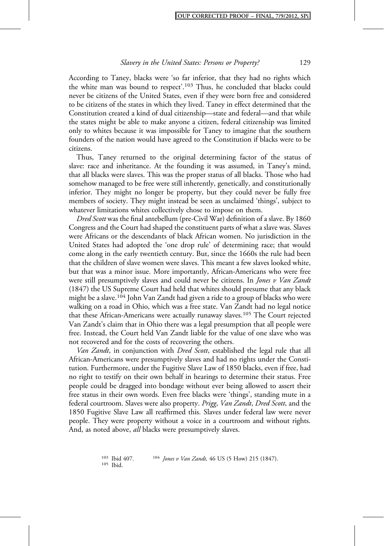According to Taney, blacks were 'so far inferior, that they had no rights which the white man was bound to respect<sup>'</sup>.<sup>103</sup> Thus, he concluded that blacks could never be citizens of the United States, even if they were born free and considered to be citizens of the states in which they lived. Taney in effect determined that the Constitution created a kind of dual citizenship—state and federal—and that while the states might be able to make anyone a citizen, federal citizenship was limited only to whites because it was impossible for Taney to imagine that the southern founders of the nation would have agreed to the Constitution if blacks were to be citizens.

Thus, Taney returned to the original determining factor of the status of slave: race and inheritance. At the founding it was assumed, in Taney's mind, that all blacks were slaves. This was the proper status of all blacks. Those who had somehow managed to be free were still inherently, genetically, and constitutionally inferior. They might no longer be property, but they could never be fully free members of society. They might instead be seen as unclaimed 'things', subject to whatever limitations whites collectively chose to impose on them.

Dred Scott was the final antebellum (pre-Civil War) definition of a slave. By 1860 Congress and the Court had shaped the constituent parts of what a slave was. Slaves were Africans or the descendants of black African women. No jurisdiction in the United States had adopted the 'one drop rule' of determining race; that would come along in the early twentieth century. But, since the 1660s the rule had been that the children of slave women were slaves. This meant a few slaves looked white, but that was a minor issue. More importantly, African-Americans who were free were still presumptively slaves and could never be citizens. In Jones v Van Zandt (1847) the US Supreme Court had held that whites should presume that any black might be a slave.104 John Van Zandt had given a ride to a group of blacks who were walking on a road in Ohio, which was a free state. Van Zandt had no legal notice that these African-Americans were actually runaway slaves.<sup>105</sup> The Court rejected Van Zandt's claim that in Ohio there was a legal presumption that all people were free. Instead, the Court held Van Zandt liable for the value of one slave who was not recovered and for the costs of recovering the others.

Van Zandt, in conjunction with Dred Scott, established the legal rule that all African-Americans were presumptively slaves and had no rights under the Constitution. Furthermore, under the Fugitive Slave Law of 1850 blacks, even if free, had no right to testify on their own behalf in hearings to determine their status. Free people could be dragged into bondage without ever being allowed to assert their free status in their own words. Even free blacks were 'things', standing mute in a federal courtroom. Slaves were also property. Prigg, Van Zandt, Dred Scott, and the 1850 Fugitive Slave Law all reaffirmed this. Slaves under federal law were never people. They were property without a voice in a courtroom and without rights. And, as noted above, *all* blacks were presumptively slaves.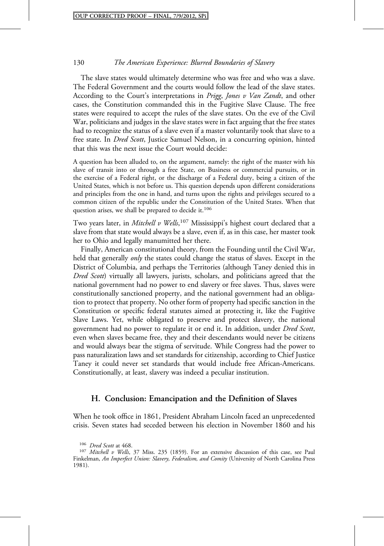The slave states would ultimately determine who was free and who was a slave. The Federal Government and the courts would follow the lead of the slave states. According to the Court's interpretations in Prigg, Jones v Van Zandt, and other cases, the Constitution commanded this in the Fugitive Slave Clause. The free states were required to accept the rules of the slave states. On the eve of the Civil War, politicians and judges in the slave states were in fact arguing that the free states had to recognize the status of a slave even if a master voluntarily took that slave to a free state. In Dred Scott, Justice Samuel Nelson, in a concurring opinion, hinted that this was the next issue the Court would decide:

A question has been alluded to, on the argument, namely: the right of the master with his slave of transit into or through a free State, on Business or commercial pursuits, or in the exercise of a Federal right, or the discharge of a Federal duty, being a citizen of the United States, which is not before us. This question depends upon different considerations and principles from the one in hand, and turns upon the rights and privileges secured to a common citizen of the republic under the Constitution of the United States. When that question arises, we shall be prepared to decide it.<sup>106</sup>

Two years later, in *Mitchell v Wells*,<sup>107</sup> Mississippi's highest court declared that a slave from that state would always be a slave, even if, as in this case, her master took her to Ohio and legally manumitted her there.

Finally, American constitutional theory, from the Founding until the Civil War, held that generally *only* the states could change the status of slaves. Except in the District of Columbia, and perhaps the Territories (although Taney denied this in Dred Scott) virtually all lawyers, jurists, scholars, and politicians agreed that the national government had no power to end slavery or free slaves. Thus, slaves were constitutionally sanctioned property, and the national government had an obligation to protect that property. No other form of property had specific sanction in the Constitution or specific federal statutes aimed at protecting it, like the Fugitive Slave Laws. Yet, while obligated to preserve and protect slavery, the national government had no power to regulate it or end it. In addition, under *Dred Scott*, even when slaves became free, they and their descendants would never be citizens and would always bear the stigma of servitude. While Congress had the power to pass naturalization laws and set standards for citizenship, according to Chief Justice Taney it could never set standards that would include free African-Americans. Constitutionally, at least, slavery was indeed a peculiar institution.

#### H. Conclusion: Emancipation and the Definition of Slaves

When he took office in 1861, President Abraham Lincoln faced an unprecedented crisis. Seven states had seceded between his election in November 1860 and his

<sup>&</sup>lt;sup>106</sup> Dred Scott at 468.<br><sup>107</sup> Mitchell v Wells, 37 Miss. 235 (1859). For an extensive discussion of this case, see Paul Finkelman, An Imperfect Union: Slavery, Federalism, and Comity (University of North Carolina Press 1981).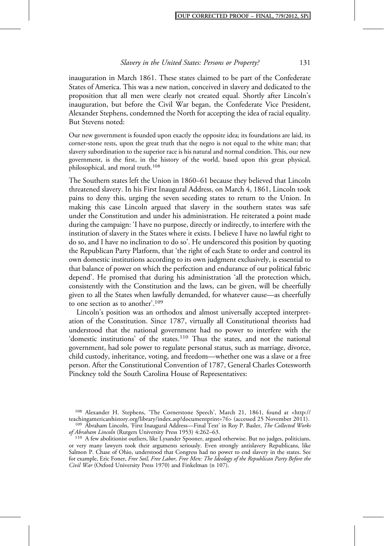inauguration in March 1861. These states claimed to be part of the Confederate States of America. This was a new nation, conceived in slavery and dedicated to the proposition that all men were clearly not created equal. Shortly after Lincoln's inauguration, but before the Civil War began, the Confederate Vice President, Alexander Stephens, condemned the North for accepting the idea of racial equality. But Stevens noted:

Our new government is founded upon exactly the opposite idea; its foundations are laid, its corner-stone rests, upon the great truth that the negro is not equal to the white man; that slavery subordination to the superior race is his natural and normal condition. This, our new government, is the first, in the history of the world, based upon this great physical, philosophical, and moral truth.<sup>108</sup>

The Southern states left the Union in 1860–61 because they believed that Lincoln threatened slavery. In his First Inaugural Address, on March 4, 1861, Lincoln took pains to deny this, urging the seven seceding states to return to the Union. In making this case Lincoln argued that slavery in the southern states was safe under the Constitution and under his administration. He reiterated a point made during the campaign: 'I have no purpose, directly or indirectly, to interfere with the institution of slavery in the States where it exists. I believe I have no lawful right to do so, and I have no inclination to do so'. He underscored this position by quoting the Republican Party Platform, that 'the right of each State to order and control its own domestic institutions according to its own judgment exclusively, is essential to that balance of power on which the perfection and endurance of our political fabric depend'. He promised that during his administration 'all the protection which, consistently with the Constitution and the laws, can be given, will be cheerfully given to all the States when lawfully demanded, for whatever cause—as cheerfully to one section as to another'. 109

Lincoln's position was an orthodox and almost universally accepted interpretation of the Constitution. Since 1787, virtually all Constitutional theorists had understood that the national government had no power to interfere with the 'domestic institutions' of the states.<sup>110</sup> Thus the states, and not the national government, had sole power to regulate personal status, such as marriage, divorce, child custody, inheritance, voting, and freedom—whether one was a slave or a free person. After the Constitutional Convention of 1787, General Charles Cotesworth Pinckney told the South Carolina House of Representatives:

<sup>108</sup> Alexander H. Stephens, 'The Cornerstone Speech', March 21, 1861, found at <http:// teachingamericanhistory.org/library/index.asp?documentprint=76> (accessed 25 November 2011).<br><sup>109</sup> Abraham Lincoln, 'First Inaugural Address—Final Text' in Roy P. Basler, *The Collected Works*<br>of Abraham Lincoln (Rutgers U

<sup>&</sup>lt;sup>110</sup> A few abolitionist outliers, like Lysander Spooner, argued otherwise. But no judges, politicians, or very many lawyers took their arguments seriously. Even strongly antislavery Republicans, like Salmon P. Chase of Ohio, understood that Congress had no power to end slavery in the states. See for example, Eric Foner, Free Soil, Free Labor, Free Men: The Ideology of the Republican Party Before the Civil War (Oxford University Press 1970) and Finkelman (n 107).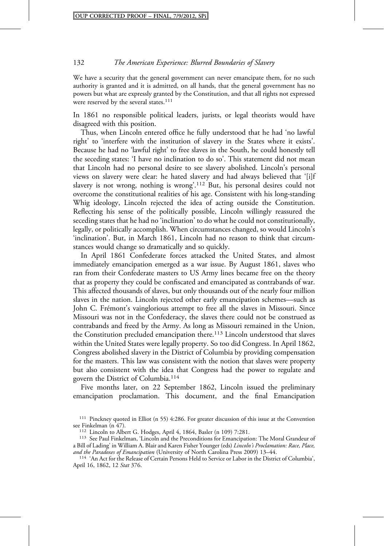We have a security that the general government can never emancipate them, for no such authority is granted and it is admitted, on all hands, that the general government has no powers but what are expressly granted by the Constitution, and that all rights not expressed were reserved by the several states.<sup>111</sup>

In 1861 no responsible political leaders, jurists, or legal theorists would have disagreed with this position.

Thus, when Lincoln entered office he fully understood that he had 'no lawful right' to 'interfere with the institution of slavery in the States where it exists'. Because he had no 'lawful right' to free slaves in the South, he could honestly tell the seceding states: 'I have no inclination to do so'. This statement did not mean that Lincoln had no personal desire to see slavery abolished. Lincoln's personal views on slavery were clear: he hated slavery and had always believed that '[i]f slavery is not wrong, nothing is wrong'. <sup>112</sup> But, his personal desires could not overcome the constitutional realities of his age. Consistent with his long-standing Whig ideology, Lincoln rejected the idea of acting outside the Constitution. Reflecting his sense of the politically possible, Lincoln willingly reassured the seceding states that he had no 'inclination' to do what he could not constitutionally, legally, or politically accomplish. When circumstances changed, so would Lincoln's 'inclination'. But, in March 1861, Lincoln had no reason to think that circumstances would change so dramatically and so quickly.

In April 1861 Confederate forces attacked the United States, and almost immediately emancipation emerged as a war issue. By August 1861, slaves who ran from their Confederate masters to US Army lines became free on the theory that as property they could be confiscated and emancipated as contrabands of war. This affected thousands of slaves, but only thousands out of the nearly four million slaves in the nation. Lincoln rejected other early emancipation schemes—such as John C. Frémont's vainglorious attempt to free all the slaves in Missouri. Since Missouri was not in the Confederacy, the slaves there could not be construed as contrabands and freed by the Army. As long as Missouri remained in the Union, the Constitution precluded emancipation there.<sup>113</sup> Lincoln understood that slaves within the United States were legally property. So too did Congress. In April 1862, Congress abolished slavery in the District of Columbia by providing compensation for the masters. This law was consistent with the notion that slaves were property but also consistent with the idea that Congress had the power to regulate and govern the District of Columbia.<sup>114</sup>

Five months later, on 22 September 1862, Lincoln issued the preliminary emancipation proclamation. This document, and the final Emancipation

<sup>&</sup>lt;sup>111</sup> Pinckney quoted in Elliot (n 55) 4:286. For greater discussion of this issue at the Convention see Finkelman (n 47).

<sup>&</sup>lt;sup>112</sup> Lincoln to Albert G. Hodges, April 4, 1864, Basler (n 109) 7:281.<br><sup>113</sup> See Paul Finkelman, 'Lincoln and the Preconditions for Emancipation: The Moral Grandeur of a Bill of Lading' in William A. Blair and Karen Fisher Younger (eds) *Lincoln's Proclamation: Race, Place, and the Paradoxes of Emancipation* (University of North Carolina Press 2009) 13-44.

<sup>&</sup>lt;sup>114</sup> 'An Act for the Release of Certain Persons Held to Service or Labor in the District of Columbia', April 16, 1862, 12 Stat 376.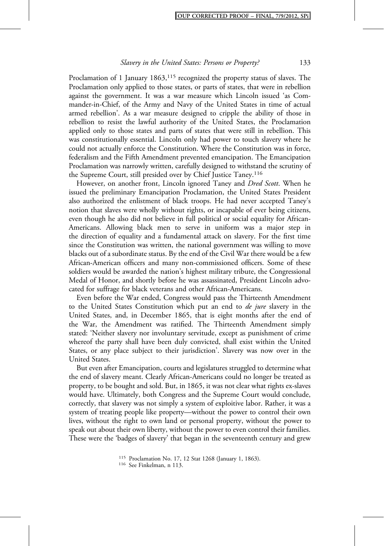Proclamation of 1 January  $1863$ ,<sup>115</sup> recognized the property status of slaves. The Proclamation only applied to those states, or parts of states, that were in rebellion against the government. It was a war measure which Lincoln issued 'as Commander-in-Chief, of the Army and Navy of the United States in time of actual armed rebellion'. As a war measure designed to cripple the ability of those in rebellion to resist the lawful authority of the United States, the Proclamation applied only to those states and parts of states that were still in rebellion. This was constitutionally essential. Lincoln only had power to touch slavery where he could not actually enforce the Constitution. Where the Constitution was in force, federalism and the Fifth Amendment prevented emancipation. The Emancipation Proclamation was narrowly written, carefully designed to withstand the scrutiny of the Supreme Court, still presided over by Chief Justice Taney.<sup>116</sup>

However, on another front, Lincoln ignored Taney and *Dred Scott*. When he issued the preliminary Emancipation Proclamation, the United States President also authorized the enlistment of black troops. He had never accepted Taney's notion that slaves were wholly without rights, or incapable of ever being citizens, even though he also did not believe in full political or social equality for African-Americans. Allowing black men to serve in uniform was a major step in the direction of equality and a fundamental attack on slavery. For the first time since the Constitution was written, the national government was willing to move blacks out of a subordinate status. By the end of the Civil War there would be a few African-American officers and many non-commissioned officers. Some of these soldiers would be awarded the nation's highest military tribute, the Congressional Medal of Honor, and shortly before he was assassinated, President Lincoln advocated for suffrage for black veterans and other African-Americans.

Even before the War ended, Congress would pass the Thirteenth Amendment to the United States Constitution which put an end to *de jure* slavery in the United States, and, in December 1865, that is eight months after the end of the War, the Amendment was ratified. The Thirteenth Amendment simply stated: 'Neither slavery nor involuntary servitude, except as punishment of crime whereof the party shall have been duly convicted, shall exist within the United States, or any place subject to their jurisdiction'. Slavery was now over in the United States.

But even after Emancipation, courts and legislatures struggled to determine what the end of slavery meant. Clearly African-Americans could no longer be treated as property, to be bought and sold. But, in 1865, it was not clear what rights ex-slaves would have. Ultimately, both Congress and the Supreme Court would conclude, correctly, that slavery was not simply a system of exploitive labor. Rather, it was a system of treating people like property—without the power to control their own lives, without the right to own land or personal property, without the power to speak out about their own liberty, without the power to even control their families. These were the 'badges of slavery' that began in the seventeenth century and grew

<sup>115</sup> Proclamation No. 17, 12 Stat 1268 (January 1, 1863). <sup>116</sup> See Finkelman, n 113.